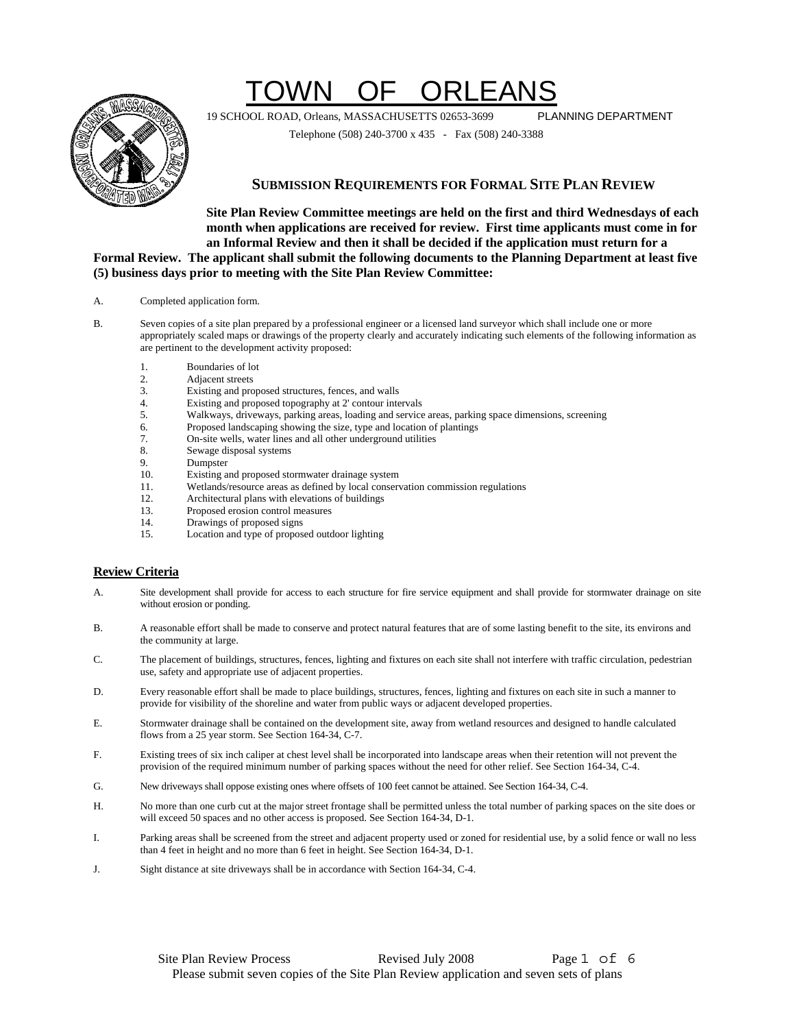# TOWN OF ORLEANS



19 SCHOOL ROAD, Orleans, MASSACHUSETTS 02653-3699 PLANNING DEPARTMENT

Telephone (508) 240-3700 x 435 - Fax (508) 240-3388

#### **SUBMISSION REQUIREMENTS FOR FORMAL SITE PLAN REVIEW**

**Site Plan Review Committee meetings are held on the first and third Wednesdays of each month when applications are received for review. First time applicants must come in for an Informal Review and then it shall be decided if the application must return for a Formal Review. The applicant shall submit the following documents to the Planning Department at least five (5) business days prior to meeting with the Site Plan Review Committee:**

- A. Completed application form.
- B. Seven copies of a site plan prepared by a professional engineer or a licensed land surveyor which shall include one or more appropriately scaled maps or drawings of the property clearly and accurately indicating such elements of the following information as are pertinent to the development activity proposed:
	- 1. Boundaries of lot
	-
	- 2. Adjacent streets<br>3. Existing and pro Existing and proposed structures, fences, and walls
	- 4. Existing and proposed topography at 2' contour intervals
	- 5. Walkways, driveways, parking areas, loading and service areas, parking space dimensions, screening
	- 6. Proposed landscaping showing the size, type and location of plantings
	- 7. On-site wells, water lines and all other underground utilities
	- 8. Sewage disposal systems
	- 9. Dumpster<br>10 Existing at
	- Existing and proposed stormwater drainage system
	- 11. Wetlands/resource areas as defined by local conservation commission regulations
	- 12. Architectural plans with elevations of buildings
	- 13. Proposed erosion control measures
	- 14. Drawings of proposed signs<br>15 Location and type of proposed
	- Location and type of proposed outdoor lighting

#### **Review Criteria**

- A. Site development shall provide for access to each structure for fire service equipment and shall provide for stormwater drainage on site without erosion or ponding.
- B. A reasonable effort shall be made to conserve and protect natural features that are of some lasting benefit to the site, its environs and the community at large.
- C. The placement of buildings, structures, fences, lighting and fixtures on each site shall not interfere with traffic circulation, pedestrian use, safety and appropriate use of adjacent properties.
- D. Every reasonable effort shall be made to place buildings, structures, fences, lighting and fixtures on each site in such a manner to provide for visibility of the shoreline and water from public ways or adjacent developed properties.
- E. Stormwater drainage shall be contained on the development site, away from wetland resources and designed to handle calculated flows from a 25 year storm. See Section 164-34, C-7.
- F. Existing trees of six inch caliper at chest level shall be incorporated into landscape areas when their retention will not prevent the provision of the required minimum number of parking spaces without the need for other relief. See Section 164-34, C-4.
- G. New driveways shall oppose existing ones where offsets of 100 feet cannot be attained. See Section 164-34, C-4.
- H. No more than one curb cut at the major street frontage shall be permitted unless the total number of parking spaces on the site does or will exceed 50 spaces and no other access is proposed. See Section 164-34, D-1.
- I. Parking areas shall be screened from the street and adjacent property used or zoned for residential use, by a solid fence or wall no less than 4 feet in height and no more than 6 feet in height. See Section 164-34, D-1.
- J. Sight distance at site driveways shall be in accordance with Section 164-34, C-4.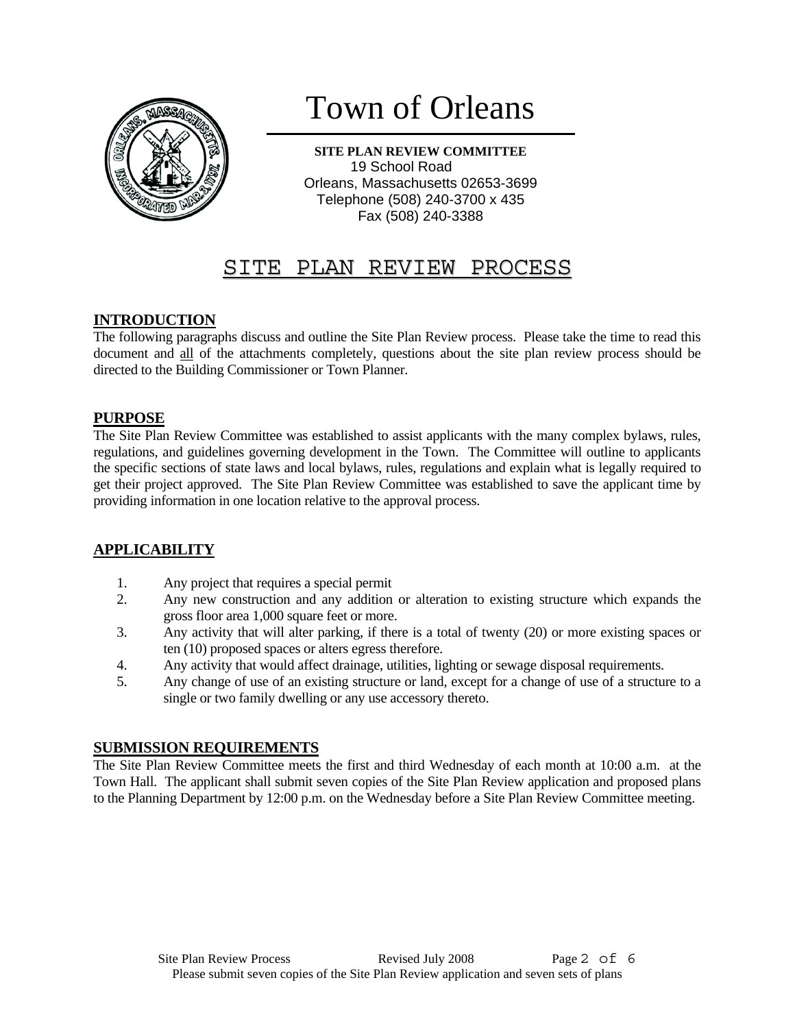

# Town of Orleans

**SITE PLAN REVIEW COMMITTEE**  19 School Road Orleans, Massachusetts 02653-3699 Telephone (508) 240-3700 x 435 Fax (508) 240-3388

# SITE PLAN REVIEW PROCESS

#### **INTRODUCTION**

The following paragraphs discuss and outline the Site Plan Review process. Please take the time to read this document and all of the attachments completely, questions about the site plan review process should be directed to the Building Commissioner or Town Planner.

#### **PURPOSE**

The Site Plan Review Committee was established to assist applicants with the many complex bylaws, rules, regulations, and guidelines governing development in the Town. The Committee will outline to applicants the specific sections of state laws and local bylaws, rules, regulations and explain what is legally required to get their project approved. The Site Plan Review Committee was established to save the applicant time by providing information in one location relative to the approval process.

#### **APPLICABILITY**

- 1. Any project that requires a special permit
- 2. Any new construction and any addition or alteration to existing structure which expands the gross floor area 1,000 square feet or more.
- 3. Any activity that will alter parking, if there is a total of twenty (20) or more existing spaces or ten (10) proposed spaces or alters egress therefore.
- 4. Any activity that would affect drainage, utilities, lighting or sewage disposal requirements.
- 5. Any change of use of an existing structure or land, except for a change of use of a structure to a single or two family dwelling or any use accessory thereto.

#### **SUBMISSION REQUIREMENTS**

The Site Plan Review Committee meets the first and third Wednesday of each month at 10:00 a.m. at the Town Hall. The applicant shall submit seven copies of the Site Plan Review application and proposed plans to the Planning Department by 12:00 p.m. on the Wednesday before a Site Plan Review Committee meeting.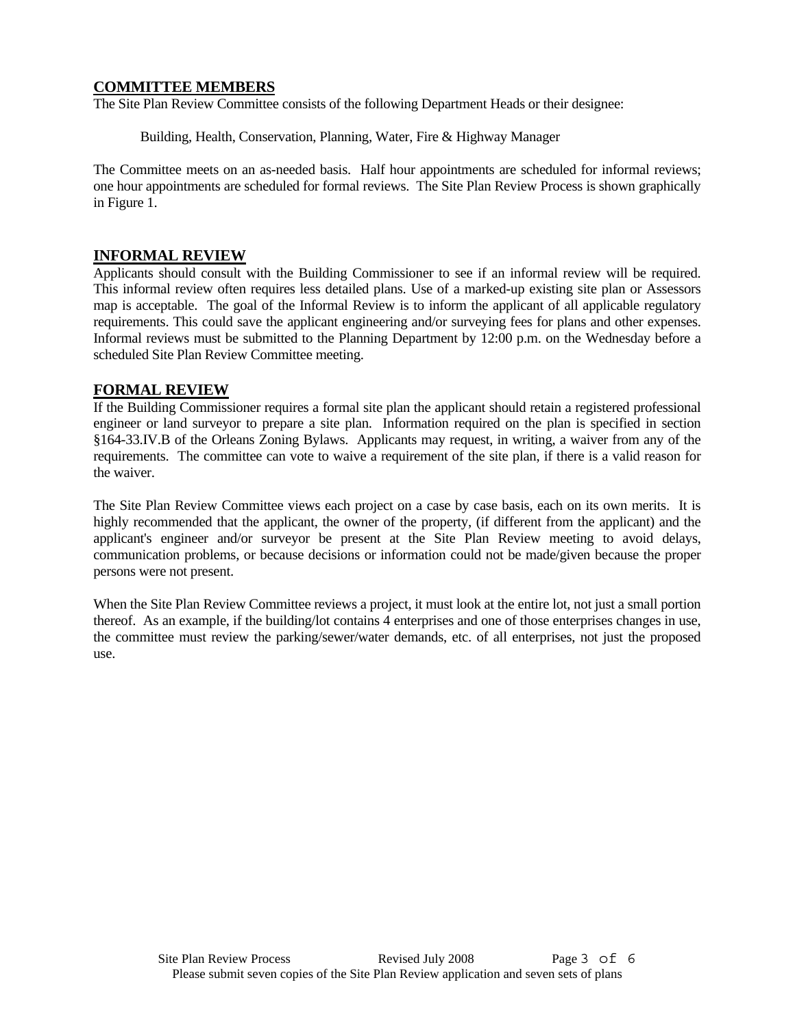#### **COMMITTEE MEMBERS**

The Site Plan Review Committee consists of the following Department Heads or their designee:

Building, Health, Conservation, Planning, Water, Fire & Highway Manager

The Committee meets on an as-needed basis. Half hour appointments are scheduled for informal reviews; one hour appointments are scheduled for formal reviews. The Site Plan Review Process is shown graphically in Figure 1.

#### **INFORMAL REVIEW**

Applicants should consult with the Building Commissioner to see if an informal review will be required. This informal review often requires less detailed plans. Use of a marked-up existing site plan or Assessors map is acceptable. The goal of the Informal Review is to inform the applicant of all applicable regulatory requirements. This could save the applicant engineering and/or surveying fees for plans and other expenses. Informal reviews must be submitted to the Planning Department by 12:00 p.m. on the Wednesday before a scheduled Site Plan Review Committee meeting.

#### **FORMAL REVIEW**

If the Building Commissioner requires a formal site plan the applicant should retain a registered professional engineer or land surveyor to prepare a site plan. Information required on the plan is specified in section §164-33.IV.B of the Orleans Zoning Bylaws. Applicants may request, in writing, a waiver from any of the requirements. The committee can vote to waive a requirement of the site plan, if there is a valid reason for the waiver.

The Site Plan Review Committee views each project on a case by case basis, each on its own merits. It is highly recommended that the applicant, the owner of the property, (if different from the applicant) and the applicant's engineer and/or surveyor be present at the Site Plan Review meeting to avoid delays, communication problems, or because decisions or information could not be made/given because the proper persons were not present.

When the Site Plan Review Committee reviews a project, it must look at the entire lot, not just a small portion thereof. As an example, if the building/lot contains 4 enterprises and one of those enterprises changes in use, the committee must review the parking/sewer/water demands, etc. of all enterprises, not just the proposed use.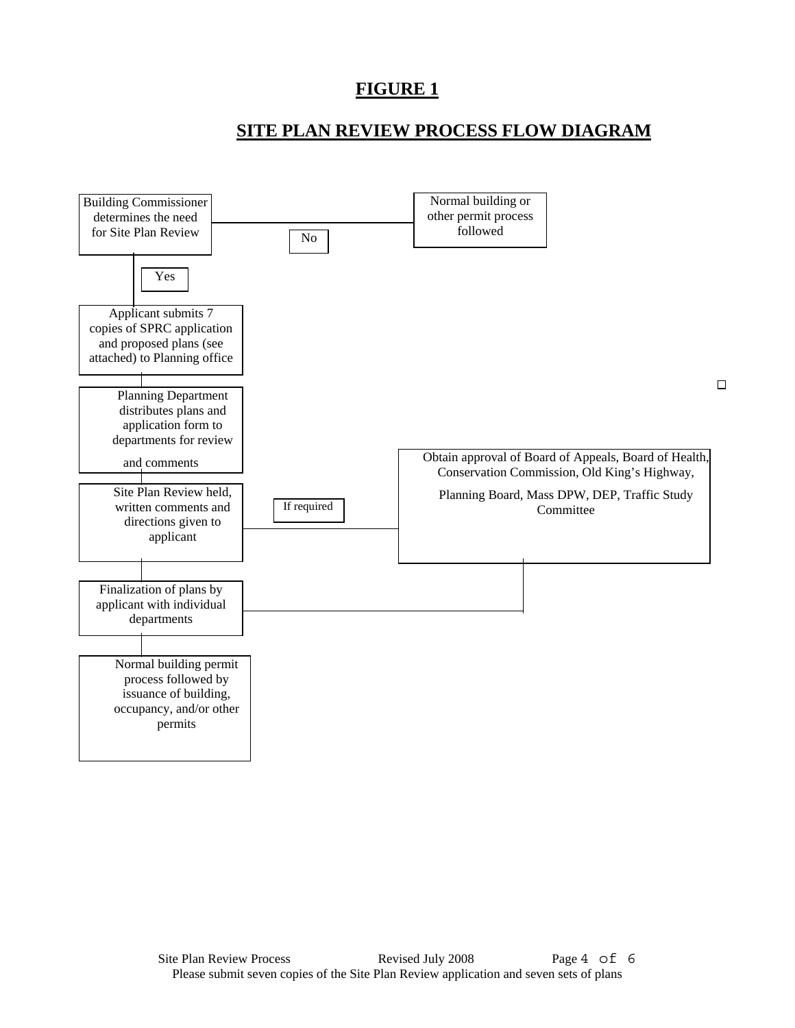### **FIGURE 1**

### **SITE PLAN REVIEW PROCESS FLOW DIAGRAM**

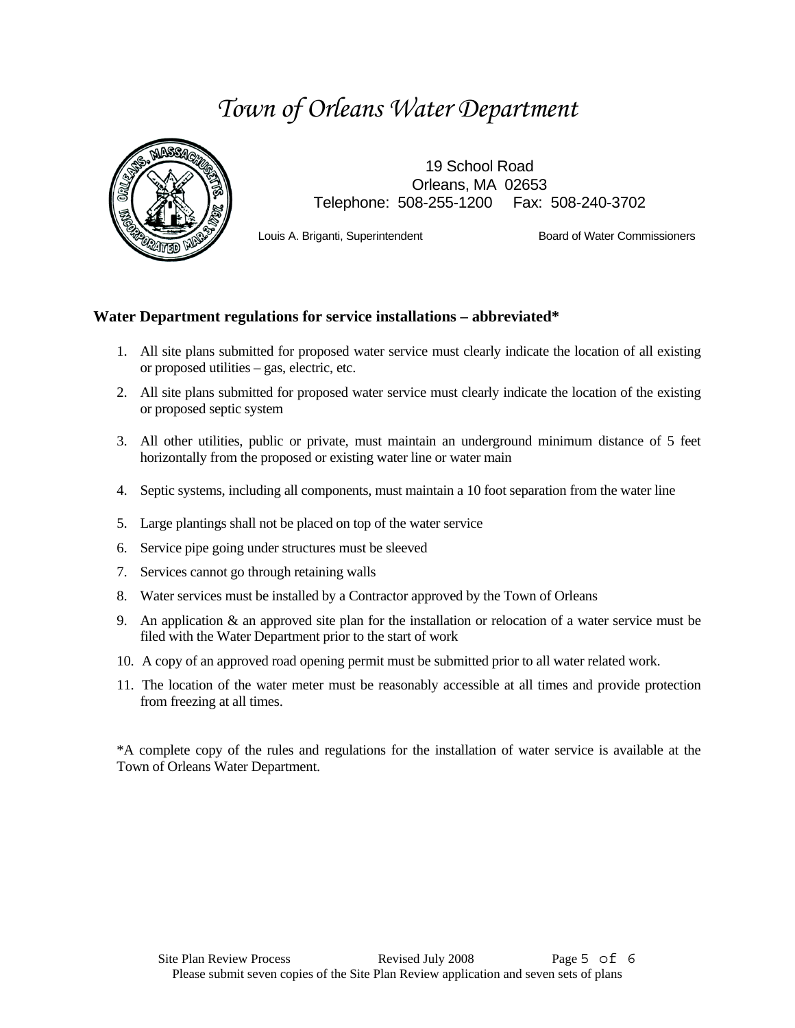# *Town of Orleans Water Department*



19 School Road Orleans, MA 02653 Telephone: 508-255-1200 Fax: 508-240-3702

Louis A. Briganti, Superintendent Board of Water Commissioners

#### **Water Department regulations for service installations – abbreviated\***

- 1. All site plans submitted for proposed water service must clearly indicate the location of all existing or proposed utilities – gas, electric, etc.
- 2. All site plans submitted for proposed water service must clearly indicate the location of the existing or proposed septic system
- 3. All other utilities, public or private, must maintain an underground minimum distance of 5 feet horizontally from the proposed or existing water line or water main
- 4. Septic systems, including all components, must maintain a 10 foot separation from the water line
- 5. Large plantings shall not be placed on top of the water service
- 6. Service pipe going under structures must be sleeved
- 7. Services cannot go through retaining walls
- 8. Water services must be installed by a Contractor approved by the Town of Orleans
- 9. An application & an approved site plan for the installation or relocation of a water service must be filed with the Water Department prior to the start of work
- 10. A copy of an approved road opening permit must be submitted prior to all water related work.
- 11. The location of the water meter must be reasonably accessible at all times and provide protection from freezing at all times.

\*A complete copy of the rules and regulations for the installation of water service is available at the Town of Orleans Water Department.